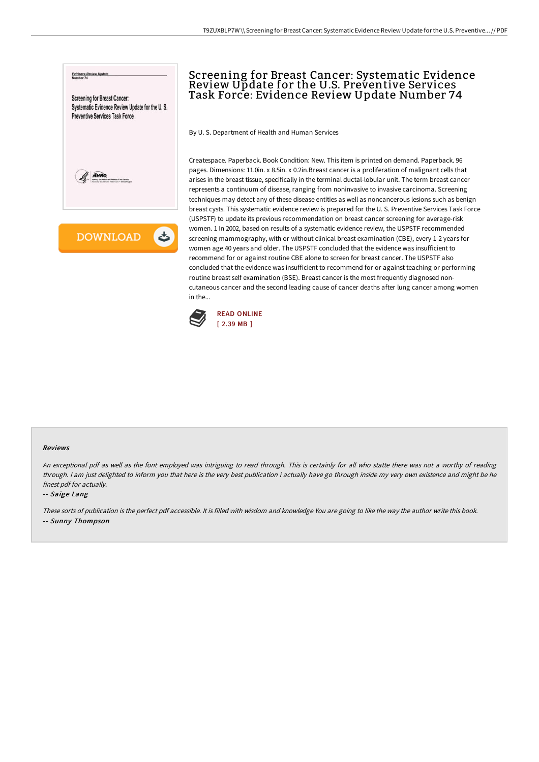

# Screening for Breast Cancer: Systematic Evidence Review Update for the U.S. Preventive Services Task Force: Evidence Review Update Number 74

By U. S. Department of Health and Human Services

Createspace. Paperback. Book Condition: New. This item is printed on demand. Paperback. 96 pages. Dimensions: 11.0in. x 8.5in. x 0.2in.Breast cancer is a proliferation of malignant cells that arises in the breast tissue, specifically in the terminal ductal-lobular unit. The term breast cancer represents a continuum of disease, ranging from noninvasive to invasive carcinoma. Screening techniques may detect any of these disease entities as well as noncancerous lesions such as benign breast cysts. This systematic evidence review is prepared for the U. S. Preventive Services Task Force (USPSTF) to update its previous recommendation on breast cancer screening for average-risk women. 1 In 2002, based on results of a systematic evidence review, the USPSTF recommended screening mammography, with or without clinical breast examination (CBE), every 1-2 years for women age 40 years and older. The USPSTF concluded that the evidence was insufficient to recommend for or against routine CBE alone to screen for breast cancer. The USPSTF also concluded that the evidence was insufficient to recommend for or against teaching or performing routine breast self examination (BSE). Breast cancer is the most frequently diagnosed noncutaneous cancer and the second leading cause of cancer deaths after lung cancer among women in the...



#### Reviews

An exceptional pdf as well as the font employed was intriguing to read through. This is certainly for all who statte there was not <sup>a</sup> worthy of reading through. <sup>I</sup> am just delighted to inform you that here is the very best publication i actually have go through inside my very own existence and might be he finest pdf for actually.

#### -- Saige Lang

These sorts of publication is the perfect pdf accessible. It is filled with wisdom and knowledge You are going to like the way the author write this book. -- Sunny Thompson